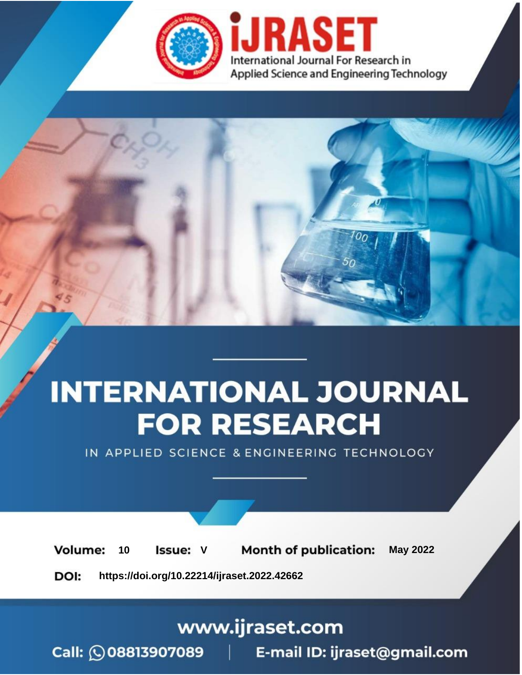

# **INTERNATIONAL JOURNAL FOR RESEARCH**

IN APPLIED SCIENCE & ENGINEERING TECHNOLOGY

Volume: **Month of publication: May 2022** 10 **Issue: V** 

DOI: https://doi.org/10.22214/ijraset.2022.42662

www.ijraset.com

Call: 008813907089 | E-mail ID: ijraset@gmail.com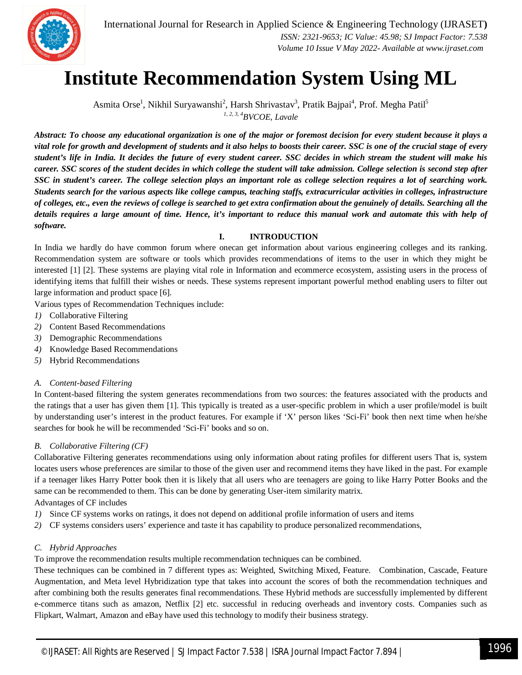

 *ISSN: 2321-9653; IC Value: 45.98; SJ Impact Factor: 7.538 Volume 10 Issue V May 2022- Available at www.ijraset.com*

### **Institute Recommendation System Using ML**

Asmita Orse<sup>1</sup>, Nikhil Suryawanshi<sup>2</sup>, Harsh Shrivastav<sup>3</sup>, Pratik Bajpai<sup>4</sup>, Prof. Megha Patil<sup>5</sup> *1, 2, 3, <sup>4</sup>BVCOE, Lavale*

*Abstract: To choose any educational organization is one of the major or foremost decision for every student because it plays a vital role for growth and development of students and it also helps to boosts their career. SSC is one of the crucial stage of every student's life in India. It decides the future of every student career. SSC decides in which stream the student will make his career. SSC scores of the student decides in which college the student will take admission. College selection is second step after SSC in student's career. The college selection plays an important role as college selection requires a lot of searching work. Students search for the various aspects like college campus, teaching staffs, extracurricular activities in colleges, infrastructure of colleges, etc., even the reviews of college is searched to get extra confirmation about the genuinely of details. Searching all the details requires a large amount of time. Hence, it's important to reduce this manual work and automate this with help of software.*

#### **I. INTRODUCTION**

In India we hardly do have common forum where onecan get information about various engineering colleges and its ranking. Recommendation system are software or tools which provides recommendations of items to the user in which they might be interested [1] [2]. These systems are playing vital role in Information and ecommerce ecosystem, assisting users in the process of identifying items that fulfill their wishes or needs. These systems represent important powerful method enabling users to filter out large information and product space [6].

Various types of Recommendation Techniques include:

- *1)* Collaborative Filtering
- *2)* Content Based Recommendations
- *3)* Demographic Recommendations
- *4)* Knowledge Based Recommendations
- *5)* Hybrid Recommendations

#### *A. Content-based Filtering*

In Content-based filtering the system generates recommendations from two sources: the features associated with the products and the ratings that a user has given them [1]. This typically is treated as a user-specific problem in which a user profile/model is built by understanding user's interest in the product features. For example if 'X' person likes 'Sci-Fi' book then next time when he/she searches for book he will be recommended 'Sci-Fi' books and so on.

#### *B. Collaborative Filtering (CF)*

Collaborative Filtering generates recommendations using only information about rating profiles for different users That is, system locates users whose preferences are similar to those of the given user and recommend items they have liked in the past. For example if a teenager likes Harry Potter book then it is likely that all users who are teenagers are going to like Harry Potter Books and the same can be recommended to them. This can be done by generating User-item similarity matrix.

#### Advantages of CF includes

- *1)* Since CF systems works on ratings, it does not depend on additional profile information of users and items
- *2)* CF systems considers users' experience and taste it has capability to produce personalized recommendations,

#### *C. Hybrid Approaches*

To improve the recommendation results multiple recommendation techniques can be combined.

These techniques can be combined in 7 different types as: Weighted, Switching Mixed, Feature. Combination, Cascade, Feature Augmentation, and Meta level Hybridization type that takes into account the scores of both the recommendation techniques and after combining both the results generates final recommendations. These Hybrid methods are successfully implemented by different e-commerce titans such as amazon, Netflix [2] etc. successful in reducing overheads and inventory costs. Companies such as Flipkart, Walmart, Amazon and eBay have used this technology to modify their business strategy.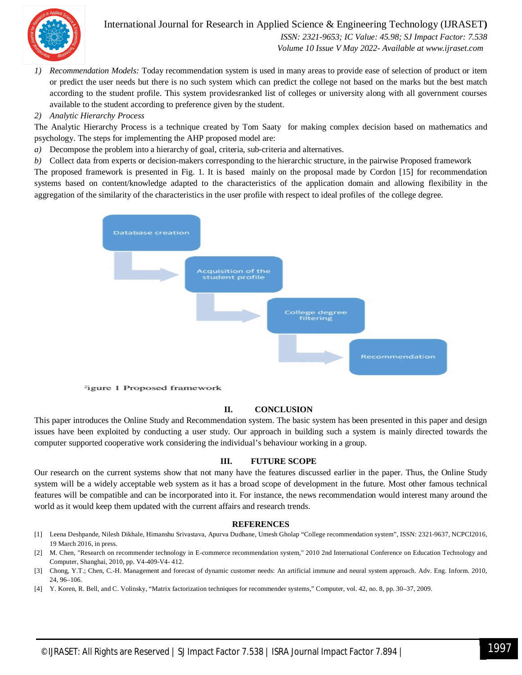

#### International Journal for Research in Applied Science & Engineering Technology (IJRASET**)**  *ISSN: 2321-9653; IC Value: 45.98; SJ Impact Factor: 7.538*

 *Volume 10 Issue V May 2022- Available at www.ijraset.com*

*1) Recommendation Models:* Today recommendation system is used in many areas to provide ease of selection of product or item or predict the user needs but there is no such system which can predict the college not based on the marks but the best match according to the student profile. This system providesranked list of colleges or university along with all government courses available to the student according to preference given by the student.

#### *2) Analytic Hierarchy Process*

The Analytic Hierarchy Process is a technique created by Tom Saaty for making complex decision based on mathematics and psychology. The steps for implementing the AHP proposed model are:

- *a)* Decompose the problem into a hierarchy of goal, criteria, sub-criteria and alternatives.
- *b)* Collect data from experts or decision-makers corresponding to the hierarchic structure, in the pairwise Proposed framework

The proposed framework is presented in Fig. 1. It is based mainly on the proposal made by Cordon [15] for recommendation systems based on content/knowledge adapted to the characteristics of the application domain and allowing flexibility in the aggregation of the similarity of the characteristics in the user profile with respect to ideal profiles of the college degree.



<sup>2</sup>igure 1 Proposed framework

#### **II. CONCLUSION**

This paper introduces the Online Study and Recommendation system. The basic system has been presented in this paper and design issues have been exploited by conducting a user study. Our approach in building such a system is mainly directed towards the computer supported cooperative work considering the individual's behaviour working in a group.

#### **III. FUTURE SCOPE**

Our research on the current systems show that not many have the features discussed earlier in the paper. Thus, the Online Study system will be a widely acceptable web system as it has a broad scope of development in the future. Most other famous technical features will be compatible and can be incorporated into it. For instance, the news recommendation would interest many around the world as it would keep them updated with the current affairs and research trends.

#### **REFERENCES**

- [1] Leena Deshpande, Nilesh Dikhale, Himanshu Srivastava, Apurva Dudhane, Umesh Gholap "College recommendation system", ISSN: 2321-9637, NCPCI2016, 19 March 2016, in press.
- [2] M. Chen, "Research on recommender technology in E-commerce recommendation system," 2010 2nd International Conference on Education Technology and Computer, Shanghai, 2010, pp. V4-409-V4- 412.
- [3] Chong, Y.T.; Chen, C.-H. Management and forecast of dynamic customer needs: An artificial immune and neural system approach. Adv. Eng. Inform. 2010, 24, 96–106.
- [4] Y. Koren, R. Bell, and C. Volinsky, "Matrix factorization techniques for recommender systems," Computer, vol. 42, no. 8, pp. 30–37, 2009.